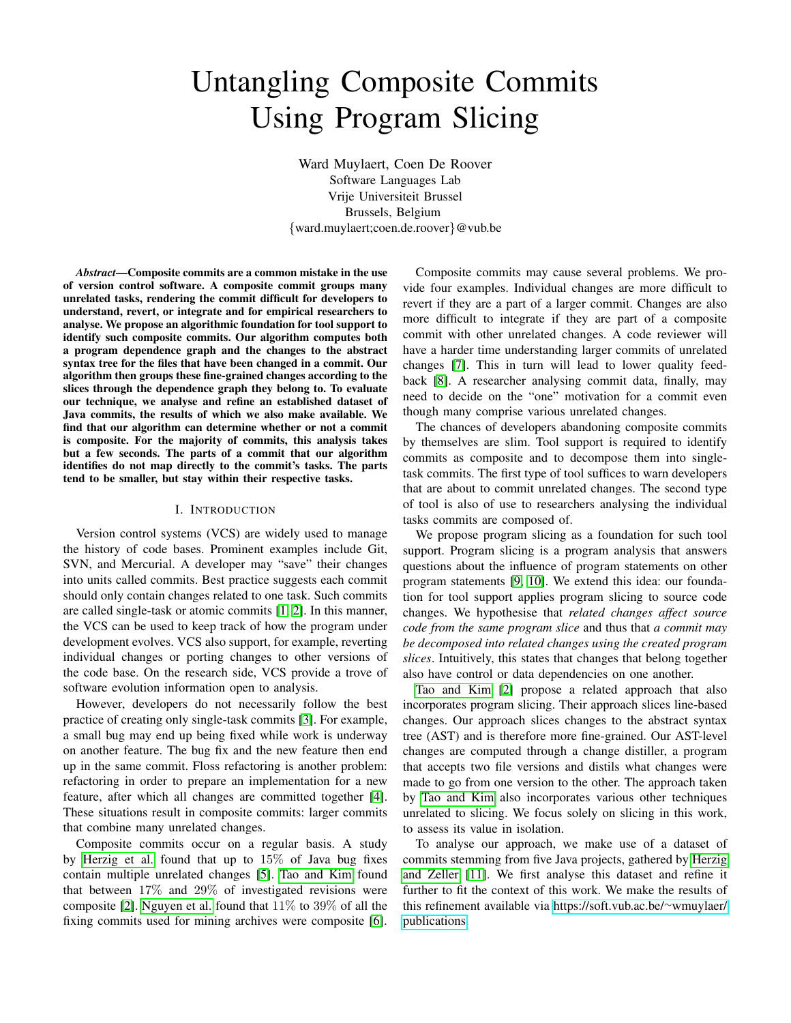# Untangling Composite Commits Using Program Slicing

Ward Muylaert, Coen De Roover Software Languages Lab Vrije Universiteit Brussel Brussels, Belgium {ward.muylaert;coen.de.roover}@vub.be

*Abstract*—Composite commits are a common mistake in the use of version control software. A composite commit groups many unrelated tasks, rendering the commit difficult for developers to understand, revert, or integrate and for empirical researchers to analyse. We propose an algorithmic foundation for tool support to identify such composite commits. Our algorithm computes both a program dependence graph and the changes to the abstract syntax tree for the files that have been changed in a commit. Our algorithm then groups these fine-grained changes according to the slices through the dependence graph they belong to. To evaluate our technique, we analyse and refine an established dataset of Java commits, the results of which we also make available. We find that our algorithm can determine whether or not a commit is composite. For the majority of commits, this analysis takes but a few seconds. The parts of a commit that our algorithm identifies do not map directly to the commit's tasks. The parts tend to be smaller, but stay within their respective tasks.

## I. INTRODUCTION

Version control systems (VCS) are widely used to manage the history of code bases. Prominent examples include Git, SVN, and Mercurial. A developer may "save" their changes into units called commits. Best practice suggests each commit should only contain changes related to one task. Such commits are called single-task or atomic commits [\[1,](#page-9-0) [2\]](#page-9-1). In this manner, the VCS can be used to keep track of how the program under development evolves. VCS also support, for example, reverting individual changes or porting changes to other versions of the code base. On the research side, VCS provide a trove of software evolution information open to analysis.

However, developers do not necessarily follow the best practice of creating only single-task commits [\[3\]](#page-9-2). For example, a small bug may end up being fixed while work is underway on another feature. The bug fix and the new feature then end up in the same commit. Floss refactoring is another problem: refactoring in order to prepare an implementation for a new feature, after which all changes are committed together [\[4\]](#page-9-3). These situations result in composite commits: larger commits that combine many unrelated changes.

Composite commits occur on a regular basis. A study by [Herzig et al.](#page-9-4) found that up to 15% of Java bug fixes contain multiple unrelated changes [\[5\]](#page-9-4). [Tao and Kim](#page-9-1) found that between 17% and 29% of investigated revisions were composite [\[2\]](#page-9-1). [Nguyen et al.](#page-9-5) found that  $11\%$  to  $39\%$  of all the fixing commits used for mining archives were composite [\[6\]](#page-9-5).

Composite commits may cause several problems. We provide four examples. Individual changes are more difficult to revert if they are a part of a larger commit. Changes are also more difficult to integrate if they are part of a composite commit with other unrelated changes. A code reviewer will have a harder time understanding larger commits of unrelated changes [\[7\]](#page-9-6). This in turn will lead to lower quality feedback [\[8\]](#page-9-7). A researcher analysing commit data, finally, may need to decide on the "one" motivation for a commit even though many comprise various unrelated changes.

The chances of developers abandoning composite commits by themselves are slim. Tool support is required to identify commits as composite and to decompose them into singletask commits. The first type of tool suffices to warn developers that are about to commit unrelated changes. The second type of tool is also of use to researchers analysing the individual tasks commits are composed of.

We propose program slicing as a foundation for such tool support. Program slicing is a program analysis that answers questions about the influence of program statements on other program statements [\[9,](#page-9-8) [10\]](#page-9-9). We extend this idea: our foundation for tool support applies program slicing to source code changes. We hypothesise that *related changes affect source code from the same program slice* and thus that *a commit may be decomposed into related changes using the created program slices*. Intuitively, this states that changes that belong together also have control or data dependencies on one another.

[Tao and Kim](#page-9-1) [\[2\]](#page-9-1) propose a related approach that also incorporates program slicing. Their approach slices line-based changes. Our approach slices changes to the abstract syntax tree (AST) and is therefore more fine-grained. Our AST-level changes are computed through a change distiller, a program that accepts two file versions and distils what changes were made to go from one version to the other. The approach taken by [Tao and Kim](#page-9-1) also incorporates various other techniques unrelated to slicing. We focus solely on slicing in this work, to assess its value in isolation.

To analyse our approach, we make use of a dataset of commits stemming from five Java projects, gathered by [Herzig](#page-9-10) [and Zeller](#page-9-10) [\[11\]](#page-9-10). We first analyse this dataset and refine it further to fit the context of this work. We make the results of this refinement available via [https://soft.vub.ac.be/](https://soft.vub.ac.be/~wmuylaer/publications)∼wmuylaer/ [publications.](https://soft.vub.ac.be/~wmuylaer/publications)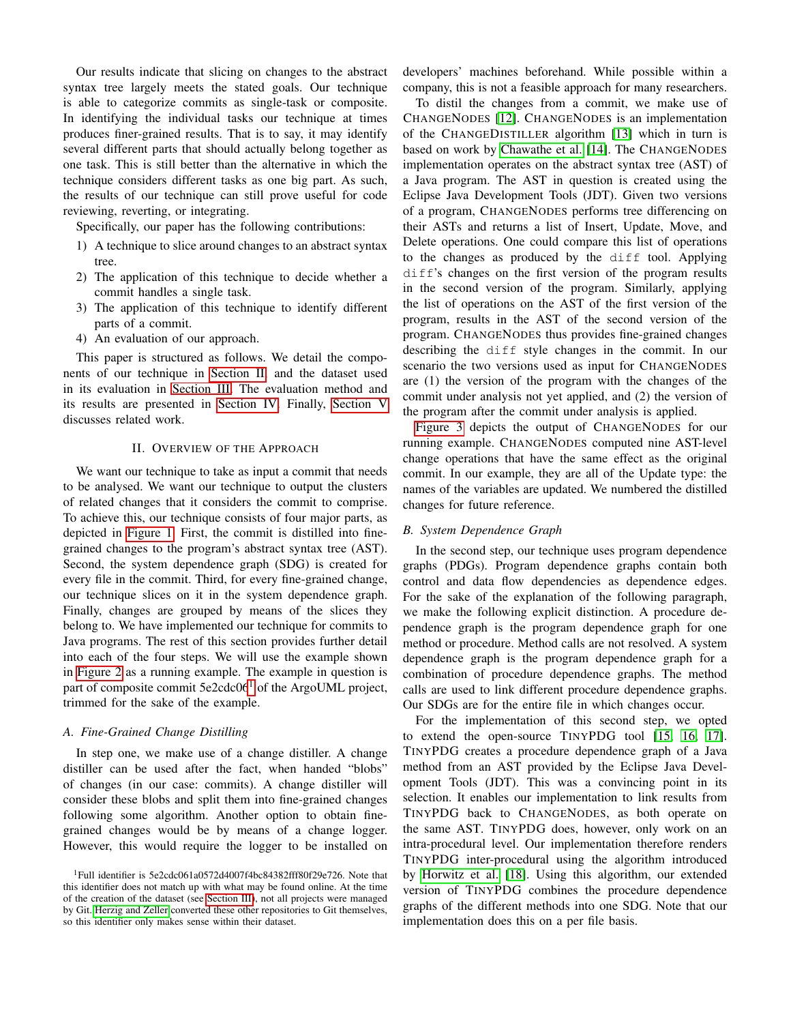Our results indicate that slicing on changes to the abstract syntax tree largely meets the stated goals. Our technique is able to categorize commits as single-task or composite. In identifying the individual tasks our technique at times produces finer-grained results. That is to say, it may identify several different parts that should actually belong together as one task. This is still better than the alternative in which the technique considers different tasks as one big part. As such, the results of our technique can still prove useful for code reviewing, reverting, or integrating.

Specifically, our paper has the following contributions:

- 1) A technique to slice around changes to an abstract syntax tree.
- 2) The application of this technique to decide whether a commit handles a single task.
- 3) The application of this technique to identify different parts of a commit.
- 4) An evaluation of our approach.

This paper is structured as follows. We detail the components of our technique in [Section II,](#page-1-0) and the dataset used in its evaluation in [Section III.](#page-3-0) The evaluation method and its results are presented in [Section IV.](#page-4-0) Finally, [Section V](#page-8-0) discusses related work.

# II. OVERVIEW OF THE APPROACH

<span id="page-1-0"></span>We want our technique to take as input a commit that needs to be analysed. We want our technique to output the clusters of related changes that it considers the commit to comprise. To achieve this, our technique consists of four major parts, as depicted in [Figure 1.](#page-2-0) First, the commit is distilled into finegrained changes to the program's abstract syntax tree (AST). Second, the system dependence graph (SDG) is created for every file in the commit. Third, for every fine-grained change, our technique slices on it in the system dependence graph. Finally, changes are grouped by means of the slices they belong to. We have implemented our technique for commits to Java programs. The rest of this section provides further detail into each of the four steps. We will use the example shown in [Figure 2](#page-2-1) as a running example. The example in question is part of composite commit 5e2cdc06<sup>[1](#page-1-1)</sup> of the ArgoUML project, trimmed for the sake of the example.

## *A. Fine-Grained Change Distilling*

In step one, we make use of a change distiller. A change distiller can be used after the fact, when handed "blobs" of changes (in our case: commits). A change distiller will consider these blobs and split them into fine-grained changes following some algorithm. Another option to obtain finegrained changes would be by means of a change logger. However, this would require the logger to be installed on

developers' machines beforehand. While possible within a company, this is not a feasible approach for many researchers.

To distil the changes from a commit, we make use of CHANGENODES [\[12\]](#page-9-11). CHANGENODES is an implementation of the CHANGEDISTILLER algorithm [\[13\]](#page-9-12) which in turn is based on work by [Chawathe et al.](#page-9-13) [\[14\]](#page-9-13). The CHANGENODES implementation operates on the abstract syntax tree (AST) of a Java program. The AST in question is created using the Eclipse Java Development Tools (JDT). Given two versions of a program, CHANGENODES performs tree differencing on their ASTs and returns a list of Insert, Update, Move, and Delete operations. One could compare this list of operations to the changes as produced by the diff tool. Applying diff's changes on the first version of the program results in the second version of the program. Similarly, applying the list of operations on the AST of the first version of the program, results in the AST of the second version of the program. CHANGENODES thus provides fine-grained changes describing the diff style changes in the commit. In our scenario the two versions used as input for CHANGENODES are (1) the version of the program with the changes of the commit under analysis not yet applied, and (2) the version of the program after the commit under analysis is applied.

[Figure 3](#page-2-2) depicts the output of CHANGENODES for our running example. CHANGENODES computed nine AST-level change operations that have the same effect as the original commit. In our example, they are all of the Update type: the names of the variables are updated. We numbered the distilled changes for future reference.

# *B. System Dependence Graph*

In the second step, our technique uses program dependence graphs (PDGs). Program dependence graphs contain both control and data flow dependencies as dependence edges. For the sake of the explanation of the following paragraph, we make the following explicit distinction. A procedure dependence graph is the program dependence graph for one method or procedure. Method calls are not resolved. A system dependence graph is the program dependence graph for a combination of procedure dependence graphs. The method calls are used to link different procedure dependence graphs. Our SDGs are for the entire file in which changes occur.

For the implementation of this second step, we opted to extend the open-source TINYPDG tool [\[15,](#page-9-14) [16,](#page-9-15) [17\]](#page-9-16). TINYPDG creates a procedure dependence graph of a Java method from an AST provided by the Eclipse Java Development Tools (JDT). This was a convincing point in its selection. It enables our implementation to link results from TINYPDG back to CHANGENODES, as both operate on the same AST. TINYPDG does, however, only work on an intra-procedural level. Our implementation therefore renders TINYPDG inter-procedural using the algorithm introduced by [Horwitz et al.](#page-9-17) [\[18\]](#page-9-17). Using this algorithm, our extended version of TINYPDG combines the procedure dependence graphs of the different methods into one SDG. Note that our implementation does this on a per file basis.

<span id="page-1-1"></span><sup>1</sup>Full identifier is 5e2cdc061a0572d4007f4bc84382fff80f29e726. Note that this identifier does not match up with what may be found online. At the time of the creation of the dataset (see [Section III\)](#page-3-0), not all projects were managed by Git. [Herzig and Zeller](#page-9-10) converted these other repositories to Git themselves, so this identifier only makes sense within their dataset.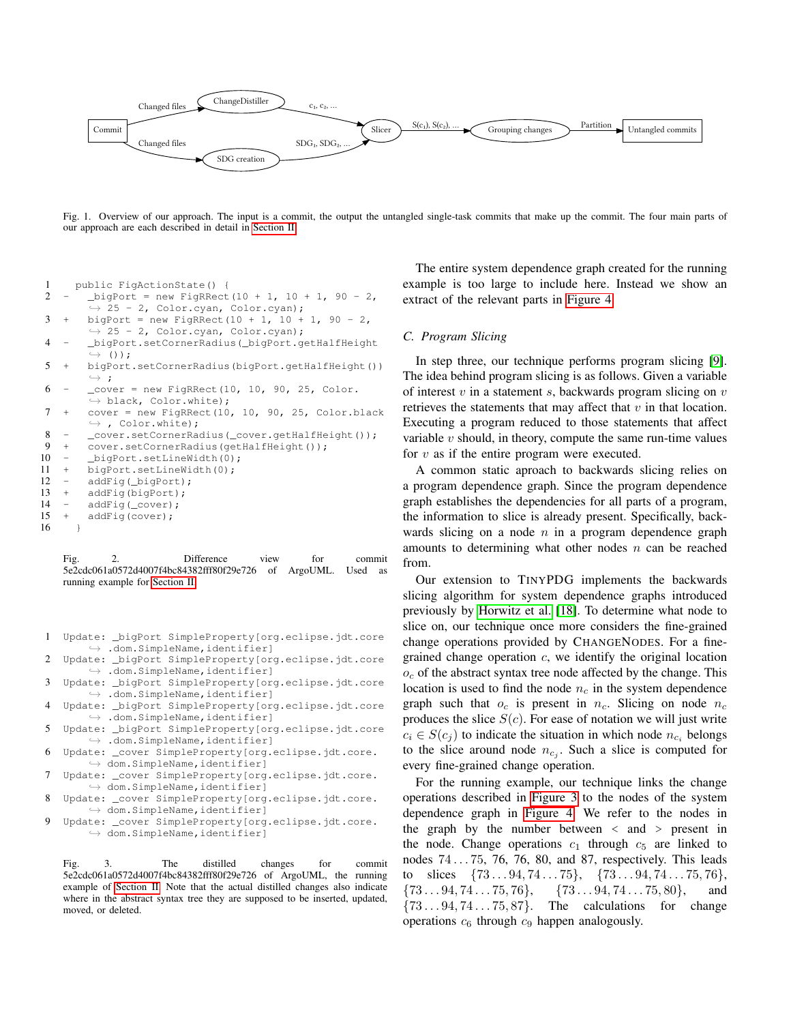

<span id="page-2-0"></span>Fig. 1. Overview of our approach. The input is a commit, the output the untangled single-task commits that make up the commit. The four main parts of our approach are each described in detail in [Section II.](#page-1-0)

```
1 public FigActionState() {<br>2 - _bigPort = new FigRRect
```

```
\_bigPort = new FigureRRect(10 + 1, 10 + 1, 90 - 2,\rightarrow 25 - 2, Color.cyan, Color.cyan);
```
 $3 + bigPort = new Figure(10 + 1, 10 + 1, 90 - 2,$  $\rightarrow$  25 - 2, Color.cyan, Color.cyan);

- 4 \_bigPort.setCornerRadius(\_bigPort.getHalfHeight  $\hookrightarrow$  ());
- 5 + bigPort.setCornerRadius(bigPort.getHalfHeight())  $\hookrightarrow$  ;
- $6 -$  \_cover = new FigRRect(10, 10, 90, 25, Color.  $\rightarrow$  black, Color.white);
- 7 + cover = new FigRRect(10, 10, 90, 25, Color.black  $\hookrightarrow$  , Color.white);
- 8  $\c{cover.setCornerRadius( \cover.getHalfHeight()) ;$ <br>9 +  $cover.setCornerRadius( \text{getHalfHeight}()))$ :
- + cover.setCornerRadius(getHalfHeight());
- 10 \_bigPort.setLineWidth(0);
- 11 + bigPort.setLineWidth(0);<br>12 addFig(higPort);
- addFig( bigPort);
- 13 + addFig(bigPort);
- 14 addFig(\_cover);
- 15 + addFig(cover);  $16 \rightarrow$

<span id="page-2-1"></span>Fig. 2. Difference view for commit 5e2cdc061a0572d4007f4bc84382fff80f29e726 of ArgoUML. Used as running example for [Section II.](#page-1-0)

- 1 Update: \_bigPort SimpleProperty[org.eclipse.jdt.core  $\rightarrow$  .dom.SimpleName,identifier]
- 2 Update: \_bigPort SimpleProperty[org.eclipse.jdt.core  $\rightarrow$  .dom.SimpleName,identifier]
- 3 Update: \_bigPort SimpleProperty[org.eclipse.jdt.core  $\hookrightarrow$  .dom.SimpleName,identifier]
- 4 Update: \_bigPort SimpleProperty[org.eclipse.jdt.core  $\rightarrow$  .dom.SimpleName,identifier]
- 5 Update: \_bigPort SimpleProperty[org.eclipse.jdt.core  $\rightarrow$  .dom.SimpleName,identifier]
- 6 Update: \_cover SimpleProperty[org.eclipse.jdt.core.  $\rightarrow$  dom.SimpleName, identifier]
- 7 Update: \_cover SimpleProperty[org.eclipse.jdt.core.  $\rightarrow$  dom.SimpleName, identifier]
- 8 Update: \_cover SimpleProperty[org.eclipse.jdt.core.  $\rightarrow$  dom.SimpleName, identifier]
- 9 Update: \_cover SimpleProperty[org.eclipse.jdt.core.  $\rightarrow$  dom.SimpleName,identifier]

<span id="page-2-2"></span>Fig. 3. The distilled changes for commit 5e2cdc061a0572d4007f4bc84382fff80f29e726 of ArgoUML, the running example of [Section II.](#page-1-0) Note that the actual distilled changes also indicate where in the abstract syntax tree they are supposed to be inserted, updated, moved, or deleted.

The entire system dependence graph created for the running example is too large to include here. Instead we show an extract of the relevant parts in [Figure 4.](#page-3-1)

## *C. Program Slicing*

In step three, our technique performs program slicing [\[9\]](#page-9-8). The idea behind program slicing is as follows. Given a variable of interest  $v$  in a statement  $s$ , backwards program slicing on  $v$ retrieves the statements that may affect that  $v$  in that location. Executing a program reduced to those statements that affect variable  $v$  should, in theory, compute the same run-time values for  $v$  as if the entire program were executed.

A common static aproach to backwards slicing relies on a program dependence graph. Since the program dependence graph establishes the dependencies for all parts of a program, the information to slice is already present. Specifically, backwards slicing on a node  $n$  in a program dependence graph amounts to determining what other nodes  $n$  can be reached from.

Our extension to TINYPDG implements the backwards slicing algorithm for system dependence graphs introduced previously by [Horwitz et al.](#page-9-17) [\[18\]](#page-9-17). To determine what node to slice on, our technique once more considers the fine-grained change operations provided by CHANGENODES. For a finegrained change operation  $c$ , we identify the original location  $o<sub>c</sub>$  of the abstract syntax tree node affected by the change. This location is used to find the node  $n_c$  in the system dependence graph such that  $o_c$  is present in  $n_c$ . Slicing on node  $n_c$ produces the slice  $S(c)$ . For ease of notation we will just write  $c_i \in S(c_j)$  to indicate the situation in which node  $n_{c_i}$  belongs to the slice around node  $n_{c_j}$ . Such a slice is computed for every fine-grained change operation.

For the running example, our technique links the change operations described in [Figure 3](#page-2-2) to the nodes of the system dependence graph in [Figure 4.](#page-3-1) We refer to the nodes in the graph by the number between  $\langle$  and  $\rangle$  present in the node. Change operations  $c_1$  through  $c_5$  are linked to nodes 74 . . . 75, 76, 76, 80, and 87, respectively. This leads to slices  $\{73 \dots 94, 74 \dots 75\}, \{73 \dots 94, 74 \dots 75, 76\},\$  $\{73 \ldots 94, 74 \ldots 75, 76\}, \{73 \ldots 94, 74 \ldots 75, 80\}, \text{and}$  ${73 \dots 94, 74 \dots 75, 87}$ . The calculations for change operations  $c_6$  through  $c_9$  happen analogously.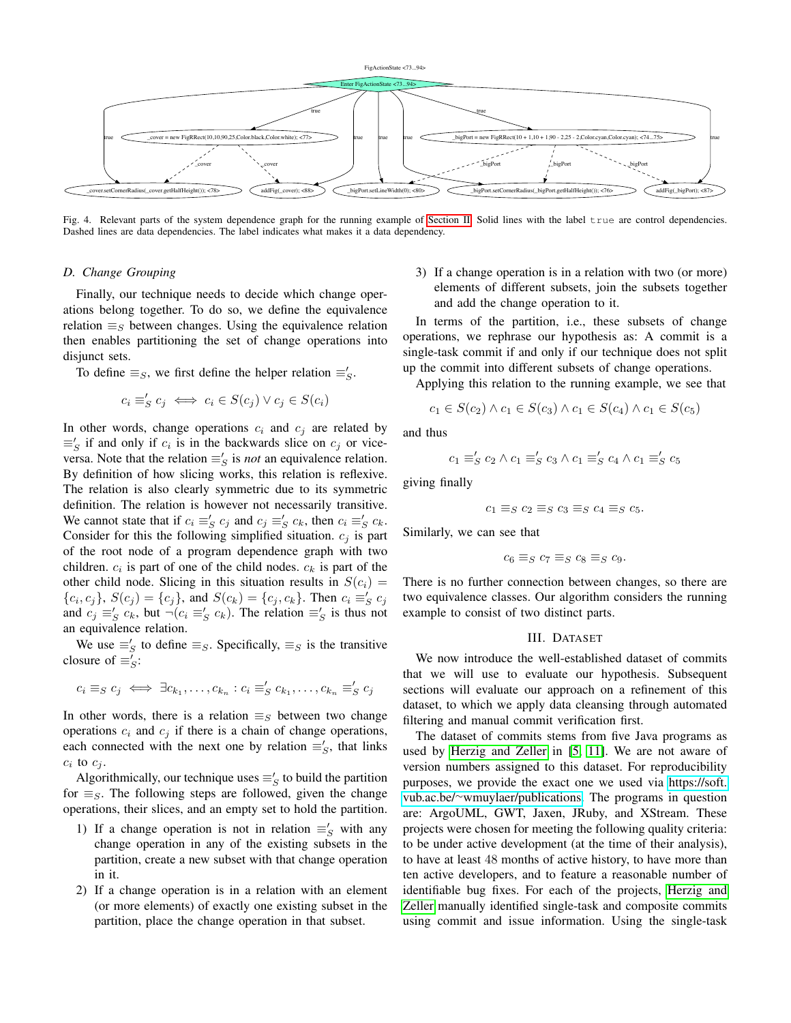

<span id="page-3-1"></span>Fig. 4. Relevant parts of the system dependence graph for the running example of [Section II.](#page-1-0) Solid lines with the label true are control dependencies. Dashed lines are data dependencies. The label indicates what makes it a data dependency.

### *D. Change Grouping*

Finally, our technique needs to decide which change operations belong together. To do so, we define the equivalence relation  $\equiv_S$  between changes. Using the equivalence relation then enables partitioning the set of change operations into disjunct sets.

To define  $\equiv_S$ , we first define the helper relation  $\equiv'_S$ .

$$
c_i \equiv_S' c_j \iff c_i \in S(c_j) \lor c_j \in S(c_i)
$$

In other words, change operations  $c_i$  and  $c_j$  are related by  $\equiv_S'$  if and only if  $c_i$  is in the backwards slice on  $c_j$  or viceversa. Note that the relation  $\equiv'_{S}$  is *not* an equivalence relation. By definition of how slicing works, this relation is reflexive. The relation is also clearly symmetric due to its symmetric definition. The relation is however not necessarily transitive. We cannot state that if  $c_i \equiv_S' c_j$  and  $c_j \equiv_S' c_k$ , then  $c_i \equiv_S' c_k$ . Consider for this the following simplified situation.  $c_i$  is part of the root node of a program dependence graph with two children.  $c_i$  is part of one of the child nodes.  $c_k$  is part of the other child node. Slicing in this situation results in  $S(c_i)$  =  ${c_i, c_j}$ ,  $S(c_j) = {c_j}$ , and  $S(c_k) = {c_j, c_k}$ . Then  $c_i \equiv_S' c_j$ and  $c_j \equiv_S' c_k$ , but  $\neg(c_i \equiv_S' c_k)$ . The relation  $\equiv_S'$  is thus not an equivalence relation.

We use  $\equiv_S'$  to define  $\equiv_S$ . Specifically,  $\equiv_S$  is the transitive closure of  $\equiv_S$ :

$$
c_i \equiv_S c_j \iff \exists c_{k_1}, \ldots, c_{k_n} : c_i \equiv_S' c_{k_1}, \ldots, c_{k_n} \equiv_S' c_j
$$

In other words, there is a relation  $\equiv_S$  between two change operations  $c_i$  and  $c_j$  if there is a chain of change operations, each connected with the next one by relation  $\equiv_S'$ , that links  $c_i$  to  $c_j$ .

Algorithmically, our technique uses  $\equiv'_{S}$  to build the partition for  $\equiv_S$ . The following steps are followed, given the change operations, their slices, and an empty set to hold the partition.

- 1) If a change operation is not in relation  $\equiv'_{S}$  with any change operation in any of the existing subsets in the partition, create a new subset with that change operation in it.
- 2) If a change operation is in a relation with an element (or more elements) of exactly one existing subset in the partition, place the change operation in that subset.

3) If a change operation is in a relation with two (or more) elements of different subsets, join the subsets together and add the change operation to it.

In terms of the partition, i.e., these subsets of change operations, we rephrase our hypothesis as: A commit is a single-task commit if and only if our technique does not split up the commit into different subsets of change operations.

Applying this relation to the running example, we see that

$$
c_1 \in S(c_2) \land c_1 \in S(c_3) \land c_1 \in S(c_4) \land c_1 \in S(c_5)
$$

and thus

$$
c_1 \equiv_S' c_2 \land c_1 \equiv_S' c_3 \land c_1 \equiv_S' c_4 \land c_1 \equiv_S' c_5
$$

giving finally

$$
c_1 \equiv_S c_2 \equiv_S c_3 \equiv_S c_4 \equiv_S c_5.
$$

Similarly, we can see that

$$
c_6 \equiv_S c_7 \equiv_S c_8 \equiv_S c_9.
$$

There is no further connection between changes, so there are two equivalence classes. Our algorithm considers the running example to consist of two distinct parts.

# III. DATASET

<span id="page-3-0"></span>We now introduce the well-established dataset of commits that we will use to evaluate our hypothesis. Subsequent sections will evaluate our approach on a refinement of this dataset, to which we apply data cleansing through automated filtering and manual commit verification first.

The dataset of commits stems from five Java programs as used by [Herzig and Zeller](#page-9-10) in [\[5,](#page-9-4) [11\]](#page-9-10). We are not aware of version numbers assigned to this dataset. For reproducibility purposes, we provide the exact one we used via [https://soft.](https://soft.vub.ac.be/~wmuylaer/publications) vub.ac.be/∼[wmuylaer/publications.](https://soft.vub.ac.be/~wmuylaer/publications) The programs in question are: ArgoUML, GWT, Jaxen, JRuby, and XStream. These projects were chosen for meeting the following quality criteria: to be under active development (at the time of their analysis), to have at least 48 months of active history, to have more than ten active developers, and to feature a reasonable number of identifiable bug fixes. For each of the projects, [Herzig and](#page-9-10) [Zeller](#page-9-10) manually identified single-task and composite commits using commit and issue information. Using the single-task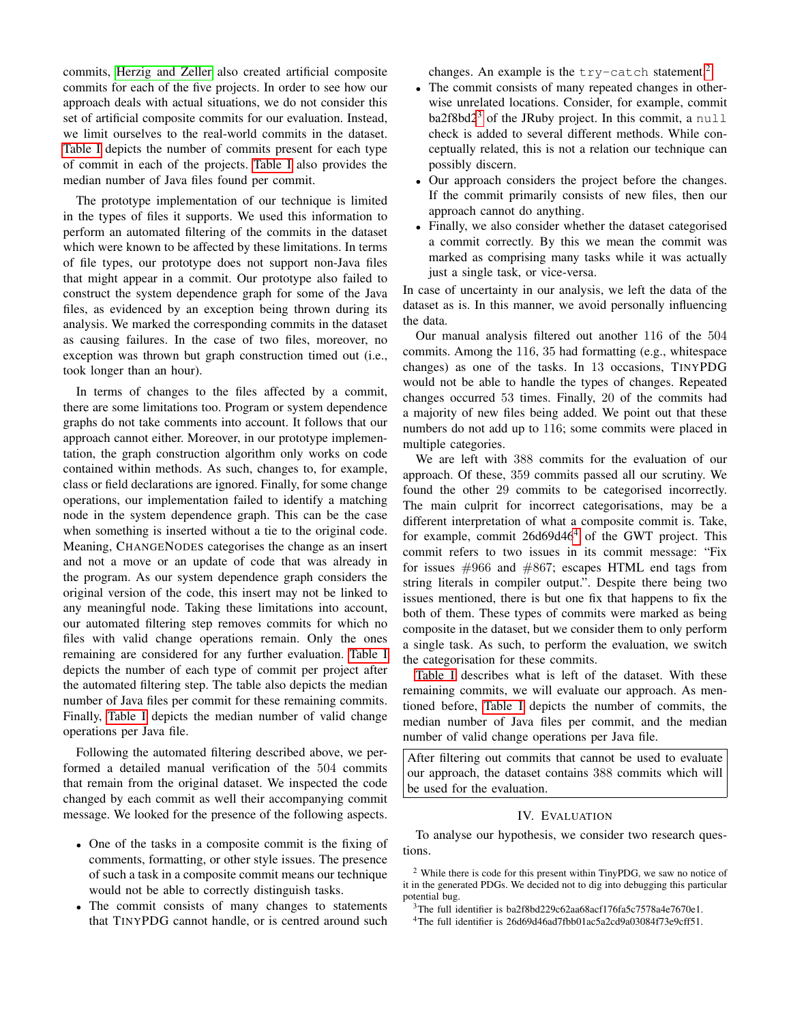commits, [Herzig and Zeller](#page-9-10) also created artificial composite commits for each of the five projects. In order to see how our approach deals with actual situations, we do not consider this set of artificial composite commits for our evaluation. Instead, we limit ourselves to the real-world commits in the dataset. [Table I](#page-5-0) depicts the number of commits present for each type of commit in each of the projects. [Table I](#page-5-0) also provides the median number of Java files found per commit.

The prototype implementation of our technique is limited in the types of files it supports. We used this information to perform an automated filtering of the commits in the dataset which were known to be affected by these limitations. In terms of file types, our prototype does not support non-Java files that might appear in a commit. Our prototype also failed to construct the system dependence graph for some of the Java files, as evidenced by an exception being thrown during its analysis. We marked the corresponding commits in the dataset as causing failures. In the case of two files, moreover, no exception was thrown but graph construction timed out (i.e., took longer than an hour).

In terms of changes to the files affected by a commit, there are some limitations too. Program or system dependence graphs do not take comments into account. It follows that our approach cannot either. Moreover, in our prototype implementation, the graph construction algorithm only works on code contained within methods. As such, changes to, for example, class or field declarations are ignored. Finally, for some change operations, our implementation failed to identify a matching node in the system dependence graph. This can be the case when something is inserted without a tie to the original code. Meaning, CHANGENODES categorises the change as an insert and not a move or an update of code that was already in the program. As our system dependence graph considers the original version of the code, this insert may not be linked to any meaningful node. Taking these limitations into account, our automated filtering step removes commits for which no files with valid change operations remain. Only the ones remaining are considered for any further evaluation. [Table I](#page-5-0) depicts the number of each type of commit per project after the automated filtering step. The table also depicts the median number of Java files per commit for these remaining commits. Finally, [Table I](#page-5-0) depicts the median number of valid change operations per Java file.

Following the automated filtering described above, we performed a detailed manual verification of the 504 commits that remain from the original dataset. We inspected the code changed by each commit as well their accompanying commit message. We looked for the presence of the following aspects.

- One of the tasks in a composite commit is the fixing of comments, formatting, or other style issues. The presence of such a task in a composite commit means our technique would not be able to correctly distinguish tasks.
- The commit consists of many changes to statements that TINYPDG cannot handle, or is centred around such

changes. An example is the  $try-catch$  statement.<sup>[2](#page-4-1)</sup>

- The commit consists of many repeated changes in otherwise unrelated locations. Consider, for example, commit  $ba2f8bd2^3$  $ba2f8bd2^3$  of the JRuby project. In this commit, a null check is added to several different methods. While conceptually related, this is not a relation our technique can possibly discern.
- Our approach considers the project before the changes. If the commit primarily consists of new files, then our approach cannot do anything.
- Finally, we also consider whether the dataset categorised a commit correctly. By this we mean the commit was marked as comprising many tasks while it was actually just a single task, or vice-versa.

In case of uncertainty in our analysis, we left the data of the dataset as is. In this manner, we avoid personally influencing the data.

Our manual analysis filtered out another 116 of the 504 commits. Among the 116, 35 had formatting (e.g., whitespace changes) as one of the tasks. In 13 occasions, TINYPDG would not be able to handle the types of changes. Repeated changes occurred 53 times. Finally, 20 of the commits had a majority of new files being added. We point out that these numbers do not add up to 116; some commits were placed in multiple categories.

We are left with 388 commits for the evaluation of our approach. Of these, 359 commits passed all our scrutiny. We found the other 29 commits to be categorised incorrectly. The main culprit for incorrect categorisations, may be a different interpretation of what a composite commit is. Take, for example, commit 26d69d[4](#page-4-3)6<sup>4</sup> of the GWT project. This commit refers to two issues in its commit message: "Fix for issues  $\#966$  and  $\#867$ ; escapes HTML end tags from string literals in compiler output.". Despite there being two issues mentioned, there is but one fix that happens to fix the both of them. These types of commits were marked as being composite in the dataset, but we consider them to only perform a single task. As such, to perform the evaluation, we switch the categorisation for these commits.

[Table I](#page-5-0) describes what is left of the dataset. With these remaining commits, we will evaluate our approach. As mentioned before, [Table I](#page-5-0) depicts the number of commits, the median number of Java files per commit, and the median number of valid change operations per Java file.

After filtering out commits that cannot be used to evaluate our approach, the dataset contains 388 commits which will be used for the evaluation.

## IV. EVALUATION

<span id="page-4-0"></span>To analyse our hypothesis, we consider two research questions.

<span id="page-4-1"></span><sup>2</sup> While there is code for this present within TinyPDG, we saw no notice of it in the generated PDGs. We decided not to dig into debugging this particular potential bug.

<span id="page-4-2"></span><sup>3</sup>The full identifier is ba2f8bd229c62aa68acf176fa5c7578a4e7670e1.

<span id="page-4-3"></span><sup>4</sup>The full identifier is 26d69d46ad7fbb01ac5a2cd9a03084f73e9cff51.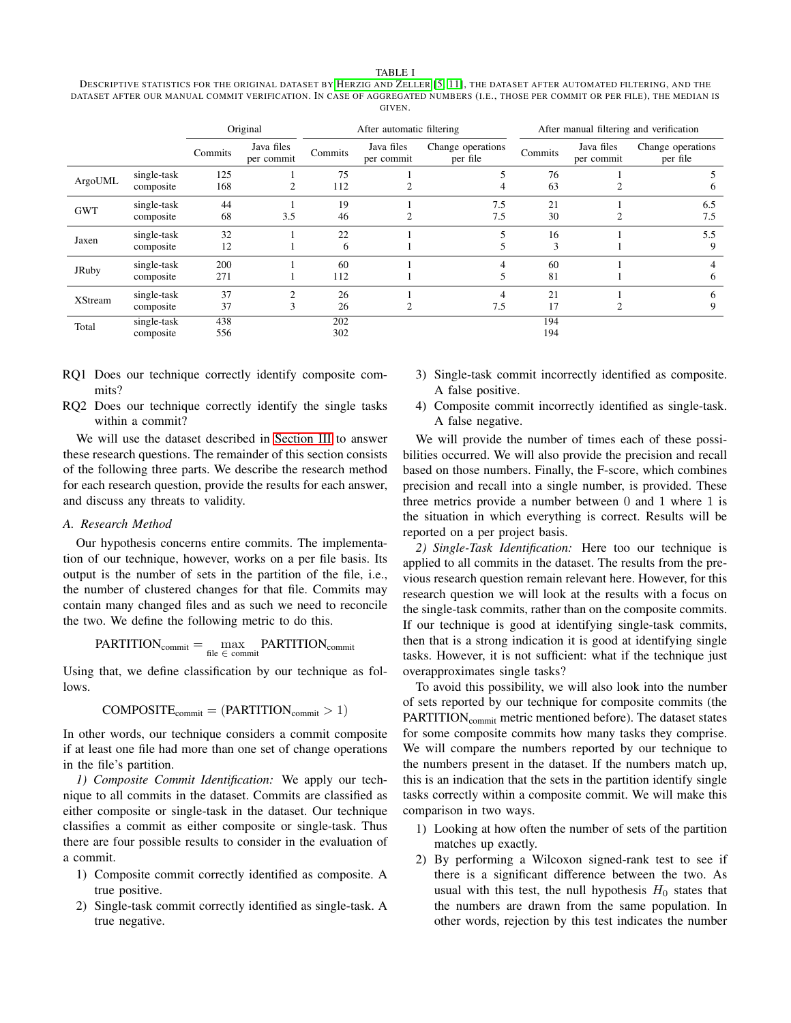#### TABLE I

<span id="page-5-0"></span>DESCRIPTIVE STATISTICS FOR THE ORIGINAL DATASET BY H[ERZIG AND](#page-9-10) ZELLER [\[5,](#page-9-4) [11\]](#page-9-10), THE DATASET AFTER AUTOMATED FILTERING, AND THE DATASET AFTER OUR MANUAL COMMIT VERIFICATION. IN CASE OF AGGREGATED NUMBERS (I.E., THOSE PER COMMIT OR PER FILE), THE MEDIAN IS GIVEN.

|                |                          | Original   |                          | After automatic filtering |                          |                               | After manual filtering and verification |                          |                               |
|----------------|--------------------------|------------|--------------------------|---------------------------|--------------------------|-------------------------------|-----------------------------------------|--------------------------|-------------------------------|
|                |                          | Commits    | Java files<br>per commit | Commits                   | Java files<br>per commit | Change operations<br>per file | Commits                                 | Java files<br>per commit | Change operations<br>per file |
| ArgoUML        | single-task<br>composite | 125<br>168 |                          | 75<br>112                 |                          |                               | 76<br>63                                |                          | 6                             |
| <b>GWT</b>     | single-task<br>composite | 44<br>68   | 3.5                      | 19<br>46                  |                          | 7.5<br>7.5                    | 21<br>30                                |                          | 6.5<br>7.5                    |
| Jaxen          | single-task<br>composite | 32<br>12   |                          | 22<br>6                   |                          |                               | 16<br>3                                 |                          | 5.5<br>9                      |
| <b>JRuby</b>   | single-task<br>composite | 200<br>271 |                          | 60<br>112                 |                          |                               | 60<br>81                                |                          | 6                             |
| <b>XStream</b> | single-task<br>composite | 37<br>37   | $\sim$<br>J.             | 26<br>26                  |                          | 7.5                           | 21<br>17                                |                          | 6<br>9                        |
| Total          | single-task<br>composite | 438<br>556 |                          | 202<br>302                |                          |                               | 194<br>194                              |                          |                               |

- RQ1 Does our technique correctly identify composite commits?
- RQ2 Does our technique correctly identify the single tasks within a commit?

We will use the dataset described in [Section III](#page-3-0) to answer these research questions. The remainder of this section consists of the following three parts. We describe the research method for each research question, provide the results for each answer, and discuss any threats to validity.

## *A. Research Method*

Our hypothesis concerns entire commits. The implementation of our technique, however, works on a per file basis. Its output is the number of sets in the partition of the file, i.e., the number of clustered changes for that file. Commits may contain many changed files and as such we need to reconcile the two. We define the following metric to do this.

$$
PARTITION_{commit} = \max_{file \;\in\;commit} PARTITION_{commit}
$$

Using that, we define classification by our technique as follows.

$$
COMPOSITE_{commit} = (PARTITION_{commit} > 1)
$$

In other words, our technique considers a commit composite if at least one file had more than one set of change operations in the file's partition.

*1) Composite Commit Identification:* We apply our technique to all commits in the dataset. Commits are classified as either composite or single-task in the dataset. Our technique classifies a commit as either composite or single-task. Thus there are four possible results to consider in the evaluation of a commit.

- 1) Composite commit correctly identified as composite. A true positive.
- 2) Single-task commit correctly identified as single-task. A true negative.
- 3) Single-task commit incorrectly identified as composite. A false positive.
- 4) Composite commit incorrectly identified as single-task. A false negative.

We will provide the number of times each of these possibilities occurred. We will also provide the precision and recall based on those numbers. Finally, the F-score, which combines precision and recall into a single number, is provided. These three metrics provide a number between 0 and 1 where 1 is the situation in which everything is correct. Results will be reported on a per project basis.

*2) Single-Task Identification:* Here too our technique is applied to all commits in the dataset. The results from the previous research question remain relevant here. However, for this research question we will look at the results with a focus on the single-task commits, rather than on the composite commits. If our technique is good at identifying single-task commits, then that is a strong indication it is good at identifying single tasks. However, it is not sufficient: what if the technique just overapproximates single tasks?

To avoid this possibility, we will also look into the number of sets reported by our technique for composite commits (the PARTITION<sub>commit</sub> metric mentioned before). The dataset states for some composite commits how many tasks they comprise. We will compare the numbers reported by our technique to the numbers present in the dataset. If the numbers match up, this is an indication that the sets in the partition identify single tasks correctly within a composite commit. We will make this comparison in two ways.

- 1) Looking at how often the number of sets of the partition matches up exactly.
- 2) By performing a Wilcoxon signed-rank test to see if there is a significant difference between the two. As usual with this test, the null hypothesis  $H_0$  states that the numbers are drawn from the same population. In other words, rejection by this test indicates the number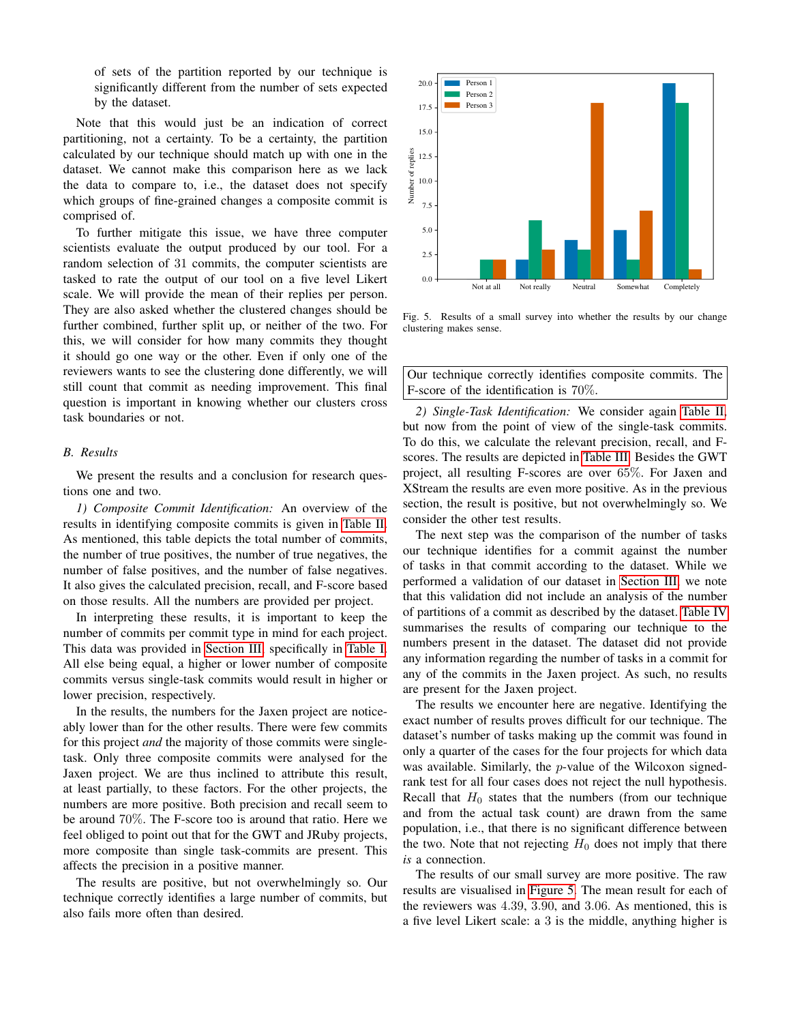of sets of the partition reported by our technique is significantly different from the number of sets expected by the dataset.

Note that this would just be an indication of correct partitioning, not a certainty. To be a certainty, the partition calculated by our technique should match up with one in the dataset. We cannot make this comparison here as we lack the data to compare to, i.e., the dataset does not specify which groups of fine-grained changes a composite commit is comprised of.

To further mitigate this issue, we have three computer scientists evaluate the output produced by our tool. For a random selection of 31 commits, the computer scientists are tasked to rate the output of our tool on a five level Likert scale. We will provide the mean of their replies per person. They are also asked whether the clustered changes should be further combined, further split up, or neither of the two. For this, we will consider for how many commits they thought it should go one way or the other. Even if only one of the reviewers wants to see the clustering done differently, we will still count that commit as needing improvement. This final question is important in knowing whether our clusters cross task boundaries or not.

## *B. Results*

We present the results and a conclusion for research questions one and two.

*1) Composite Commit Identification:* An overview of the results in identifying composite commits is given in [Table II.](#page-7-0) As mentioned, this table depicts the total number of commits, the number of true positives, the number of true negatives, the number of false positives, and the number of false negatives. It also gives the calculated precision, recall, and F-score based on those results. All the numbers are provided per project.

In interpreting these results, it is important to keep the number of commits per commit type in mind for each project. This data was provided in [Section III,](#page-3-0) specifically in [Table I.](#page-5-0) All else being equal, a higher or lower number of composite commits versus single-task commits would result in higher or lower precision, respectively.

In the results, the numbers for the Jaxen project are noticeably lower than for the other results. There were few commits for this project *and* the majority of those commits were singletask. Only three composite commits were analysed for the Jaxen project. We are thus inclined to attribute this result, at least partially, to these factors. For the other projects, the numbers are more positive. Both precision and recall seem to be around 70%. The F-score too is around that ratio. Here we feel obliged to point out that for the GWT and JRuby projects, more composite than single task-commits are present. This affects the precision in a positive manner.

The results are positive, but not overwhelmingly so. Our technique correctly identifies a large number of commits, but also fails more often than desired.



<span id="page-6-0"></span>Fig. 5. Results of a small survey into whether the results by our change clustering makes sense.

Our technique correctly identifies composite commits. The F-score of the identification is 70%.

*2) Single-Task Identification:* We consider again [Table II,](#page-7-0) but now from the point of view of the single-task commits. To do this, we calculate the relevant precision, recall, and Fscores. The results are depicted in [Table III.](#page-7-1) Besides the GWT project, all resulting F-scores are over 65%. For Jaxen and XStream the results are even more positive. As in the previous section, the result is positive, but not overwhelmingly so. We consider the other test results.

The next step was the comparison of the number of tasks our technique identifies for a commit against the number of tasks in that commit according to the dataset. While we performed a validation of our dataset in [Section III,](#page-3-0) we note that this validation did not include an analysis of the number of partitions of a commit as described by the dataset. [Table IV](#page-7-2) summarises the results of comparing our technique to the numbers present in the dataset. The dataset did not provide any information regarding the number of tasks in a commit for any of the commits in the Jaxen project. As such, no results are present for the Jaxen project.

The results we encounter here are negative. Identifying the exact number of results proves difficult for our technique. The dataset's number of tasks making up the commit was found in only a quarter of the cases for the four projects for which data was available. Similarly, the *p*-value of the Wilcoxon signedrank test for all four cases does not reject the null hypothesis. Recall that  $H_0$  states that the numbers (from our technique and from the actual task count) are drawn from the same population, i.e., that there is no significant difference between the two. Note that not rejecting  $H_0$  does not imply that there *is* a connection.

The results of our small survey are more positive. The raw results are visualised in [Figure 5.](#page-6-0) The mean result for each of the reviewers was 4.39, 3.90, and 3.06. As mentioned, this is a five level Likert scale: a 3 is the middle, anything higher is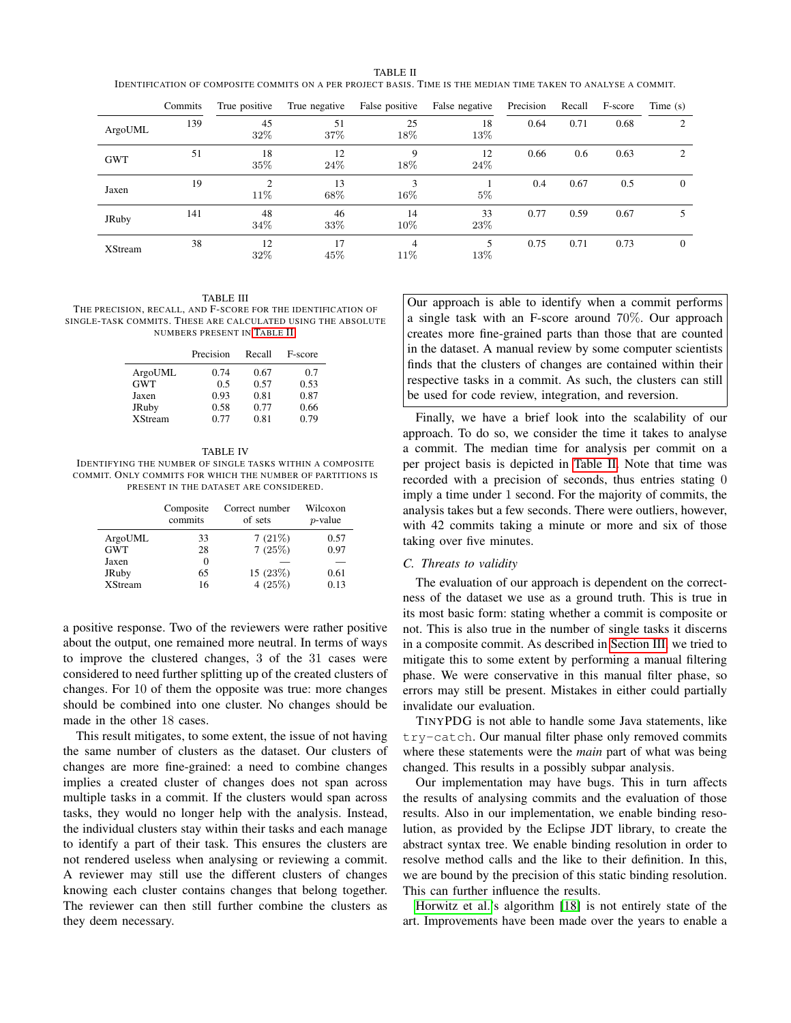TABLE II IDENTIFICATION OF COMPOSITE COMMITS ON A PER PROJECT BASIS. TIME IS THE MEDIAN TIME TAKEN TO ANALYSE A COMMIT.

<span id="page-7-0"></span>

|                | Commits | True positive | True negative | False positive | False negative | Precision | Recall | F-score | Time $(s)$ |
|----------------|---------|---------------|---------------|----------------|----------------|-----------|--------|---------|------------|
| ArgoUML        | 139     | 45<br>32%     | 51<br>37%     | 25<br>18%      | 18<br>13%      | 0.64      | 0.71   | 0.68    |            |
| <b>GWT</b>     | 51      | 18<br>35%     | 12<br>24\%    | Q<br>18%       | 12<br>24\%     | 0.66      | 0.6    | 0.63    | ◠          |
| Jaxen          | 19      | 11%           | 13<br>68%     | ٩<br>16%       | $5\%$          | 0.4       | 0.67   | 0.5     | $\Omega$   |
| JRuby          | 141     | 48<br>34%     | 46<br>33%     | 14<br>10%      | 33<br>23\%     | 0.77      | 0.59   | 0.67    |            |
| <b>XStream</b> | 38      | 12<br>32%     | 17<br>45%     | 4<br>11%       | 13%            | 0.75      | 0.71   | 0.73    | $\Omega$   |

<span id="page-7-1"></span>TABLE III THE PRECISION, RECALL, AND F-SCORE FOR THE IDENTIFICATION OF SINGLE-TASK COMMITS. THESE ARE CALCULATED USING THE ABSOLUTE NUMBERS PRESENT IN T[ABLE](#page-7-0) II.

|                | Precision | Recall | F-score |
|----------------|-----------|--------|---------|
| ArgoUML        | 0.74      | 0.67   | 0.7     |
| <b>GWT</b>     | 0.5       | 0.57   | 0.53    |
| Jaxen          | 0.93      | 0.81   | 0.87    |
| JRuby          | 0.58      | 0.77   | 0.66    |
| <b>XStream</b> | 0.77      | 0.81   | 0.79    |

<span id="page-7-2"></span>TABLE IV IDENTIFYING THE NUMBER OF SINGLE TASKS WITHIN A COMPOSITE COMMIT. ONLY COMMITS FOR WHICH THE NUMBER OF PARTITIONS IS PRESENT IN THE DATASET ARE CONSIDERED.

|                | Composite<br>commits | Correct number<br>of sets | Wilcoxon<br>$p$ -value |
|----------------|----------------------|---------------------------|------------------------|
| ArgoUML        | 33                   | 7(21%)                    | 0.57                   |
| <b>GWT</b>     | 28                   | 7(25%)                    | 0.97                   |
| Jaxen          | 0                    |                           |                        |
| <b>JRuby</b>   | 65                   | 15 (23%)                  | 0.61                   |
| <b>XStream</b> | 16                   | 4(25%)                    | 0.13                   |

a positive response. Two of the reviewers were rather positive about the output, one remained more neutral. In terms of ways to improve the clustered changes, 3 of the 31 cases were considered to need further splitting up of the created clusters of changes. For 10 of them the opposite was true: more changes should be combined into one cluster. No changes should be made in the other 18 cases.

This result mitigates, to some extent, the issue of not having the same number of clusters as the dataset. Our clusters of changes are more fine-grained: a need to combine changes implies a created cluster of changes does not span across multiple tasks in a commit. If the clusters would span across tasks, they would no longer help with the analysis. Instead, the individual clusters stay within their tasks and each manage to identify a part of their task. This ensures the clusters are not rendered useless when analysing or reviewing a commit. A reviewer may still use the different clusters of changes knowing each cluster contains changes that belong together. The reviewer can then still further combine the clusters as they deem necessary.

Our approach is able to identify when a commit performs a single task with an F-score around 70%. Our approach creates more fine-grained parts than those that are counted in the dataset. A manual review by some computer scientists finds that the clusters of changes are contained within their respective tasks in a commit. As such, the clusters can still be used for code review, integration, and reversion.

Finally, we have a brief look into the scalability of our approach. To do so, we consider the time it takes to analyse a commit. The median time for analysis per commit on a per project basis is depicted in [Table II.](#page-7-0) Note that time was recorded with a precision of seconds, thus entries stating 0 imply a time under 1 second. For the majority of commits, the analysis takes but a few seconds. There were outliers, however, with 42 commits taking a minute or more and six of those taking over five minutes.

## *C. Threats to validity*

The evaluation of our approach is dependent on the correctness of the dataset we use as a ground truth. This is true in its most basic form: stating whether a commit is composite or not. This is also true in the number of single tasks it discerns in a composite commit. As described in [Section III,](#page-3-0) we tried to mitigate this to some extent by performing a manual filtering phase. We were conservative in this manual filter phase, so errors may still be present. Mistakes in either could partially invalidate our evaluation.

TINYPDG is not able to handle some Java statements, like try-catch. Our manual filter phase only removed commits where these statements were the *main* part of what was being changed. This results in a possibly subpar analysis.

Our implementation may have bugs. This in turn affects the results of analysing commits and the evaluation of those results. Also in our implementation, we enable binding resolution, as provided by the Eclipse JDT library, to create the abstract syntax tree. We enable binding resolution in order to resolve method calls and the like to their definition. In this, we are bound by the precision of this static binding resolution. This can further influence the results.

[Horwitz et al.'](#page-9-17)s algorithm [\[18\]](#page-9-17) is not entirely state of the art. Improvements have been made over the years to enable a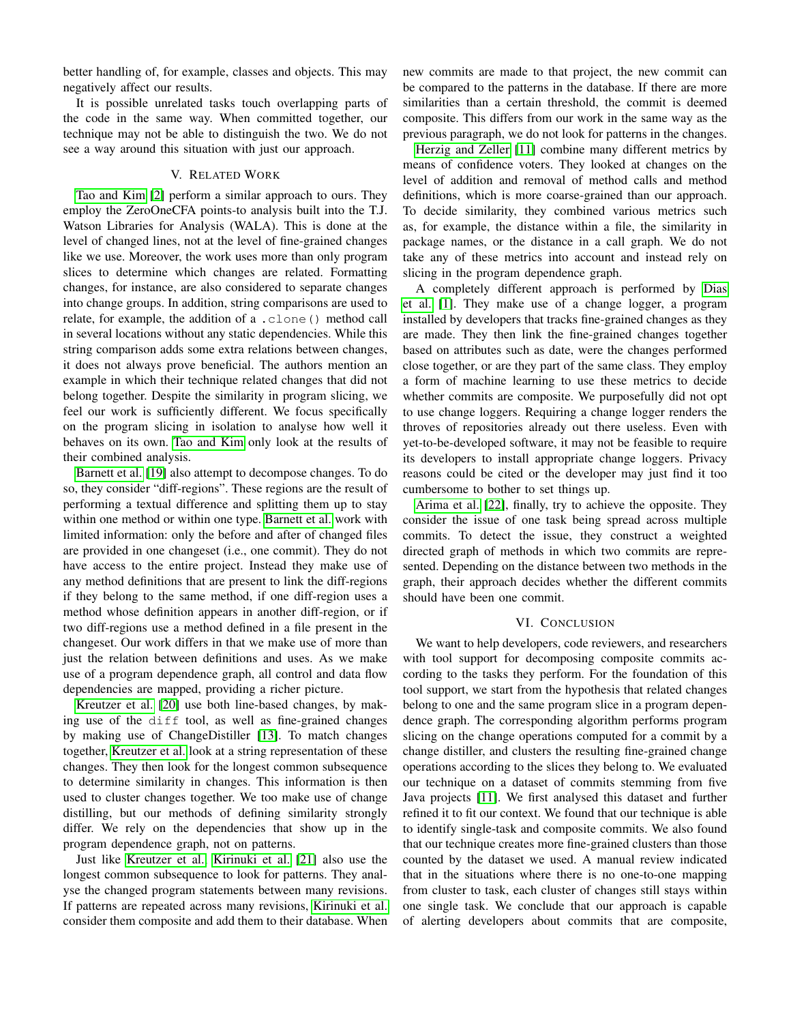better handling of, for example, classes and objects. This may negatively affect our results.

It is possible unrelated tasks touch overlapping parts of the code in the same way. When committed together, our technique may not be able to distinguish the two. We do not see a way around this situation with just our approach.

## V. RELATED WORK

<span id="page-8-0"></span>[Tao and Kim](#page-9-1) [\[2\]](#page-9-1) perform a similar approach to ours. They employ the ZeroOneCFA points-to analysis built into the T.J. Watson Libraries for Analysis (WALA). This is done at the level of changed lines, not at the level of fine-grained changes like we use. Moreover, the work uses more than only program slices to determine which changes are related. Formatting changes, for instance, are also considered to separate changes into change groups. In addition, string comparisons are used to relate, for example, the addition of a .clone() method call in several locations without any static dependencies. While this string comparison adds some extra relations between changes, it does not always prove beneficial. The authors mention an example in which their technique related changes that did not belong together. Despite the similarity in program slicing, we feel our work is sufficiently different. We focus specifically on the program slicing in isolation to analyse how well it behaves on its own. [Tao and Kim](#page-9-1) only look at the results of their combined analysis.

[Barnett et al.](#page-9-18) [\[19\]](#page-9-18) also attempt to decompose changes. To do so, they consider "diff-regions". These regions are the result of performing a textual difference and splitting them up to stay within one method or within one type. [Barnett et al.](#page-9-18) work with limited information: only the before and after of changed files are provided in one changeset (i.e., one commit). They do not have access to the entire project. Instead they make use of any method definitions that are present to link the diff-regions if they belong to the same method, if one diff-region uses a method whose definition appears in another diff-region, or if two diff-regions use a method defined in a file present in the changeset. Our work differs in that we make use of more than just the relation between definitions and uses. As we make use of a program dependence graph, all control and data flow dependencies are mapped, providing a richer picture.

[Kreutzer et al.](#page-9-19) [\[20\]](#page-9-19) use both line-based changes, by making use of the diff tool, as well as fine-grained changes by making use of ChangeDistiller [\[13\]](#page-9-12). To match changes together, [Kreutzer et al.](#page-9-19) look at a string representation of these changes. They then look for the longest common subsequence to determine similarity in changes. This information is then used to cluster changes together. We too make use of change distilling, but our methods of defining similarity strongly differ. We rely on the dependencies that show up in the program dependence graph, not on patterns.

Just like [Kreutzer et al.,](#page-9-19) [Kirinuki et al.](#page-9-20) [\[21\]](#page-9-20) also use the longest common subsequence to look for patterns. They analyse the changed program statements between many revisions. If patterns are repeated across many revisions, [Kirinuki et al.](#page-9-20) consider them composite and add them to their database. When new commits are made to that project, the new commit can be compared to the patterns in the database. If there are more similarities than a certain threshold, the commit is deemed composite. This differs from our work in the same way as the previous paragraph, we do not look for patterns in the changes.

[Herzig and Zeller](#page-9-10) [\[11\]](#page-9-10) combine many different metrics by means of confidence voters. They looked at changes on the level of addition and removal of method calls and method definitions, which is more coarse-grained than our approach. To decide similarity, they combined various metrics such as, for example, the distance within a file, the similarity in package names, or the distance in a call graph. We do not take any of these metrics into account and instead rely on slicing in the program dependence graph.

A completely different approach is performed by [Dias](#page-9-0) [et al.](#page-9-0) [\[1\]](#page-9-0). They make use of a change logger, a program installed by developers that tracks fine-grained changes as they are made. They then link the fine-grained changes together based on attributes such as date, were the changes performed close together, or are they part of the same class. They employ a form of machine learning to use these metrics to decide whether commits are composite. We purposefully did not opt to use change loggers. Requiring a change logger renders the throves of repositories already out there useless. Even with yet-to-be-developed software, it may not be feasible to require its developers to install appropriate change loggers. Privacy reasons could be cited or the developer may just find it too cumbersome to bother to set things up.

[Arima et al.](#page-9-21) [\[22\]](#page-9-21), finally, try to achieve the opposite. They consider the issue of one task being spread across multiple commits. To detect the issue, they construct a weighted directed graph of methods in which two commits are represented. Depending on the distance between two methods in the graph, their approach decides whether the different commits should have been one commit.

## VI. CONCLUSION

We want to help developers, code reviewers, and researchers with tool support for decomposing composite commits according to the tasks they perform. For the foundation of this tool support, we start from the hypothesis that related changes belong to one and the same program slice in a program dependence graph. The corresponding algorithm performs program slicing on the change operations computed for a commit by a change distiller, and clusters the resulting fine-grained change operations according to the slices they belong to. We evaluated our technique on a dataset of commits stemming from five Java projects [\[11\]](#page-9-10). We first analysed this dataset and further refined it to fit our context. We found that our technique is able to identify single-task and composite commits. We also found that our technique creates more fine-grained clusters than those counted by the dataset we used. A manual review indicated that in the situations where there is no one-to-one mapping from cluster to task, each cluster of changes still stays within one single task. We conclude that our approach is capable of alerting developers about commits that are composite,